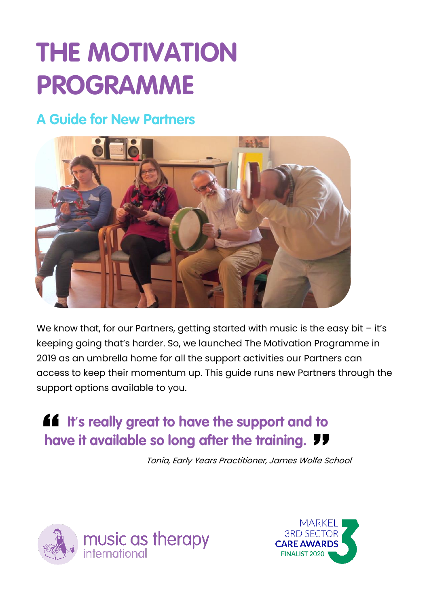# **THE MOTIVATION PROGRAMME**

### **A Guide for New Partners**



We know that, for our Partners, getting started with music is the easy bit - it's keeping going that's harder. So, we launched The Motivation Programme in 2019 as an umbrella home for all the support activities our Partners can access to keep their momentum up. This guide runs new Partners through the support options available to you.

## **16** It's really great to have the support and to **have it available so long after the training.** *TT*

Tonia, Early Years Practitioner, James Wolfe School



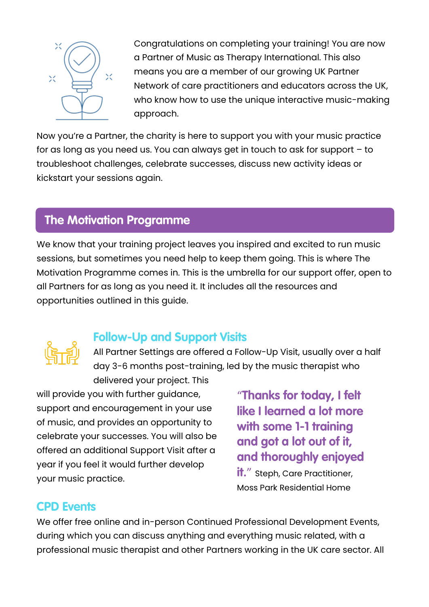

Congratulations on completing your training! You are now a Partner of Music as Therapy International. This also means you are a member of our growing UK Partner Network of care practitioners and educators across the UK, who know how to use the unique interactive music-making approach.

Now you're a Partner, the charity is here to support you with your music practice for as long as you need us. You can always get in touch to ask for support – to troubleshoot challenges, celebrate successes, discuss new activity ideas or kickstart your sessions again.

#### **The Motivation Programme**

We know that your training project leaves you inspired and excited to run music sessions, but sometimes you need help to keep them going. This is where The Motivation Programme comes in. This is the umbrella for our support offer, open to all Partners for as long as you need it. It includes all the resources and opportunities outlined in this guide.



#### **Follow-Up and Support Visits**

All Partner Settings are offered a Follow-Up Visit, usually over a half day 3-6 months post-training, led by the music therapist who delivered your project. This

will provide you with further guidance, support and encouragement in your use of music, and provides an opportunity to celebrate your successes. You will also be offered an additional Support Visit after a year if you feel it would further develop your music practice.

"**Thanks for today, I felt like I learned a lot more with some 1-1 training and got a lot out of it, and thoroughly enjoyed it.**" Steph, Care Practitioner,

Moss Park Residential Home

#### **CPD Events**

We offer free online and in-person Continued Professional Development Events, during which you can discuss anything and everything music related, with a professional music therapist and other Partners working in the UK care sector. All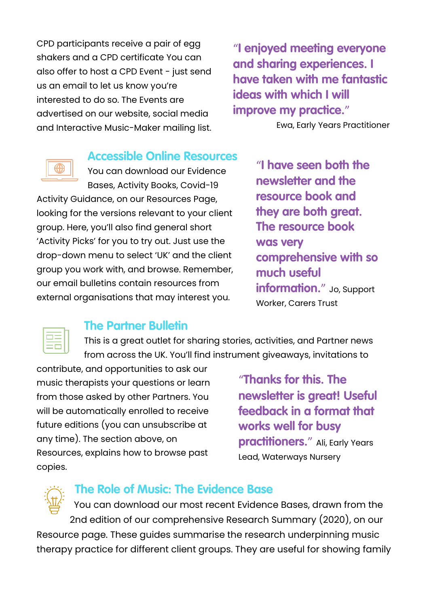CPD participants receive a pair of egg shakers and a CPD certificate You can also offer to host a CPD Event - just send us an email to let us know you're interested to do so. The Events are advertised on our website, social media and Interactive Music-Maker mailing list.

"**I enjoyed meeting everyone and sharing experiences. I have taken with me fantastic ideas with which I will improve my practice.**"

Ewa, Early Years Practitioner

#### **Accessible Online Resources**

You can download our Evidence Bases, Activity Books, Covid-19

Activity Guidance, on our Resources Page, looking for the versions relevant to your client group. Here, you'll also find general short 'Activity Picks' for you to try out. Just use the drop-down menu to select 'UK' and the client group you work with, and browse. Remember, our email bulletins contain resources from external organisations that may interest you.

"**I have seen both the newsletter and the resource book and they are both great. The resource book was very comprehensive with so much useful information.**" Jo, Support Worker, Carers Trust



#### **The Partner Bulletin**

This is a great outlet for sharing stories, activities, and Partner news from across the UK. You'll find instrument giveaways, invitations to

contribute, and opportunities to ask our music therapists your questions or learn from those asked by other Partners. You will be automatically enrolled to receive future editions (you can unsubscribe at any time). The section above, on Resources, explains how to browse past copies.

"**Thanks for this. The newsletter is great! Useful feedback in a format that works well for busy practitioners.**" Ali, Early Years Lead, Waterways Nursery

#### **The Role of Music: The Evidence Base**

You can download our most recent Evidence Bases, drawn from the 2nd edition of our comprehensive Research Summary (2020), on our Resource page. These guides summarise the research underpinning music therapy practice for different client groups. They are useful for showing family